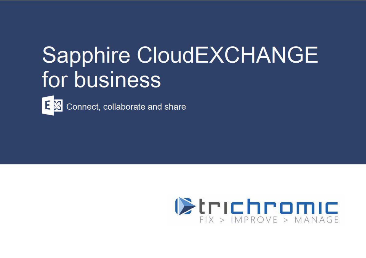# **Sapphire CloudEXCHANGE** for business



E S Connect, collaborate and share

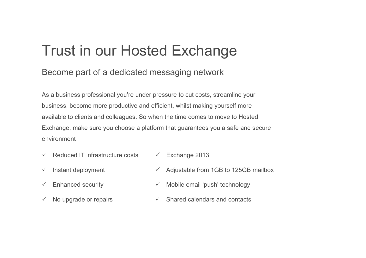# Trust in our Hosted Exchange

#### Become part of a dedicated messaging network

As a business professional you're under pressure to cut costs, streamline your business, become more productive and efficient, whilst making yourself more available to clients and colleagues. So when the time comes to move to Hosted Exchange, make sure you choose a platform that guarantees you a safe and secure environment

- $\checkmark$  Reduced IT infrastructure costs Exchange 2013
- $\checkmark$  Instant deployment  $\checkmark$  Adjustable from 1GB to 125GB mailbox
- $\checkmark$  Enhanced security
- $\checkmark$  Mobile email 'push' technology

 $\checkmark$  No upgrade or repairs

 $\checkmark$  Shared calendars and contacts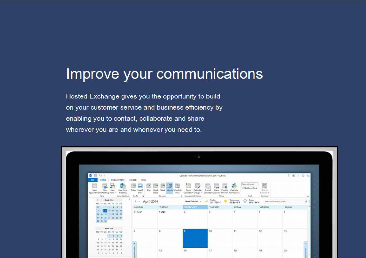### Improve your communications

Hosted Exchange gives you the opportunity to build on your customer service and business efficiency by enabling you to contact, collaborate and share wherever you are and whenever you need to.

|                                                                                                                                 |                                                                                                     |                                                                     | <b>AT BR</b>                                                                             |                                                                                         |                                                          |                                      |               |                       |
|---------------------------------------------------------------------------------------------------------------------------------|-----------------------------------------------------------------------------------------------------|---------------------------------------------------------------------|------------------------------------------------------------------------------------------|-----------------------------------------------------------------------------------------|----------------------------------------------------------|--------------------------------------|---------------|-----------------------|
|                                                                                                                                 |                                                                                                     |                                                                     |                                                                                          |                                                                                         |                                                          |                                      |               |                       |
| <b>DB 5 % +</b><br><b>HOME</b><br><b>FILE</b><br>SEND / RECEIVE                                                                 | FOLDER<br><b>VEW</b>                                                                                |                                                                     | Calendar - Jan.smith@smithindu@ries.com - Outlook                                        |                                                                                         |                                                          |                                      | $? 32 - 52$   |                       |
| <b>SH</b><br>þ.<br>u-<br>New<br>New<br>New Lyne<br>New<br>Appointment Meeting Berns -<br>Meeting<br><b>Isric Meeting</b><br>New | u.<br><b>Hotel</b><br>眡<br>Today Next7<br>$D_{\text{F}f}$<br>Week<br>Days<br><b>Week</b><br>da fa c | <b>Company</b><br>匪<br>暄<br>Week Month Schedule<br>Matur<br>Altange | the di<br>$\rightarrow$<br>Calendar<br>Open<br>Calendar . Graups .<br>G Manage Calendary | - 0<br>z,<br>Share Publish<br>E-mail<br>Calendar Calendar Online - Pennissions<br>Share | Search People<br>£.<br>Address Book<br>Calendar<br>find. | 闅<br>44416<br>Eventure S<br>Eustmate |               | $\boldsymbol{\kappa}$ |
| April 2014<br>٠<br>MO TU WE TH FR SA SU                                                                                         | + > April 2014                                                                                      |                                                                     | New York, NY -                                                                           | Today<br>59°1738°F                                                                      | ≙<br>Friday<br>Territorini<br>62"1/48"1<br>66°1744°1     | Search Calendar (Chris D)            |               | $\mathcal{P}$         |
| 31 1 2 3 4 5 6                                                                                                                  | MONDAY                                                                                              | TUESDAY                                                             | WEDNESDAY                                                                                | <b>THURSDAY</b>                                                                         | FRIDAY                                                   | SATURDAY                             | <b>SUNDAY</b> | ×                     |
| 7 8 9 90 11 12 13<br>14 15 16 17 18 19 20<br>21 22 21 24 25 26 27<br>21 29 30                                                   | 31 Mar                                                                                              | 1 Apr                                                               |                                                                                          |                                                                                         |                                                          |                                      |               |                       |
| May 2014                                                                                                                        |                                                                                                     |                                                                     |                                                                                          |                                                                                         |                                                          |                                      |               |                       |
| MO TU WE THE FR. SA SU<br>12.14<br>5 6 7 8 9 10 11                                                                              |                                                                                                     |                                                                     |                                                                                          | 10                                                                                      | 11                                                       | 12                                   | 13            |                       |
| 12 13 14 15 15 17 18                                                                                                            |                                                                                                     |                                                                     |                                                                                          |                                                                                         |                                                          |                                      |               |                       |
| 19 29 21 22 21 24 25                                                                                                            |                                                                                                     |                                                                     |                                                                                          |                                                                                         |                                                          |                                      |               |                       |
|                                                                                                                                 |                                                                                                     |                                                                     |                                                                                          |                                                                                         |                                                          |                                      |               |                       |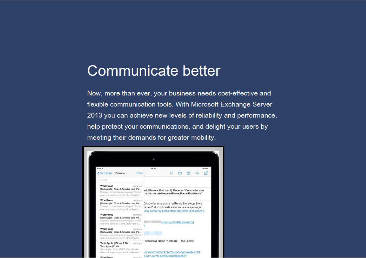### **Communicate better**

Now, more than ever, your business needs cost-effective and flexible communication tools. With Microsoft Exchange Server 2013 you can achieve new levels of reliability and performance, help protect your communications, and delight your users by meeting their demands for greater mobility.

| Ø.                                                                                                                                                                       |                                                                                                                                                        |  |  |  |  |  |  |  |
|--------------------------------------------------------------------------------------------------------------------------------------------------------------------------|--------------------------------------------------------------------------------------------------------------------------------------------------------|--|--|--|--|--|--|--|
| Pad <sub>®</sub><br><tech apple<br="">Entrada<br/>Editar</tech>                                                                                                          | 00.47<br>2956                                                                                                                                          |  |  |  |  |  |  |  |
| C: Fluton                                                                                                                                                                |                                                                                                                                                        |  |  |  |  |  |  |  |
| <b>WordPress</b><br>dominao<br>(Tech Apple   Dicas & Tutorias para iPa<br>Un nova comentário sobre o post "Como<br>criar uma conta na iTunes Store/App St                | ad, iPhone e iPod touch] Moderar: "Como criar uma<br>cartão de crédito pelo iPhone, iPad e iPod touch"                                                 |  |  |  |  |  |  |  |
| <b>WordPress</b><br>domingo <sup>-</sup><br>Flech Apple   Dicas & Tutorias para iPa<br>Uni nova comentário sobre o post "Como"<br>criar uma conta na iTunas Store/Apo St | Como criar uma conta na iTunes Store/App Store<br>'ad e iPod touch' está esperando sua aprovação.<br>uma-conta-da-itunes-store-app-store-ibookstore-e- |  |  |  |  |  |  |  |
| <b>WordPress</b><br>domingo <sup>®</sup><br>[Tech Apple   Dicas & Tutoriss para iPa<br>Um novo comentário sobre o post "Como.<br>oriar uma conta na iTunes Store/App St  | 絙<br>cüstomer.tdatabrasil.net.br)                                                                                                                      |  |  |  |  |  |  |  |
| WordPress<br>domingo<br>(Tech Apple   Dicas & Tutorias para iPa<br>Um nova comuntário sobre o post "Como<br>criar uma conta na iTunes Store/App St                       |                                                                                                                                                        |  |  |  |  |  |  |  |
| Tech Apple   Dicas & Tut domings<br>Tech Apple   Posts<br>Tech Apple   Posta MwPrintPaint Lim Juro<br>de colorir impresso para cristricada pirita                        | aparece a opção "nenhum" - meu email:<br>-admin/comment.php?action=approve&c=749                                                                       |  |  |  |  |  |  |  |
| <b>WordDrag</b>                                                                                                                                                          | e.com.br/wp-admin/comment.php?                                                                                                                         |  |  |  |  |  |  |  |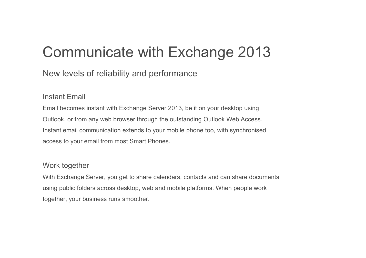# Communicate with Exchange 2013

New levels of reliability and performance

Instant Email

Email becomes instant with Exchange Server 2013, be it on your desktop using Outlook, or from any web browser through the outstanding Outlook Web Access. Instant email communication extends to your mobile phone too, with synchronised access to your email from most Smart Phones.

#### Work together

With Exchange Server, you get to share calendars, contacts and can share documents using public folders across desktop, web and mobile platforms. When people work together, your business runs smoother.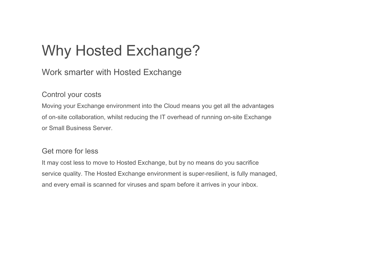# Why Hosted Exchange?

#### Work smarter with Hosted Exchange

#### Control your costs

Moving your Exchange environment into the Cloud means you get all the advantages of on-site collaboration, whilst reducing the IT overhead of running on-site Exchange or Small Business Server.

#### Get more for less

It may cost less to move to Hosted Exchange, but by no means do you sacrifice service quality. The Hosted Exchange environment is super-resilient, is fully managed, and every email is scanned for viruses and spam before it arrives in your inbox.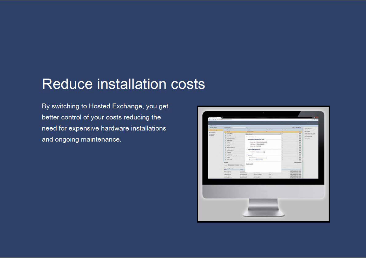## **Reduce installation costs**

By switching to Hosted Exchange, you get better control of your costs reducing the need for expensive hardware installations and ongoing maintenance.

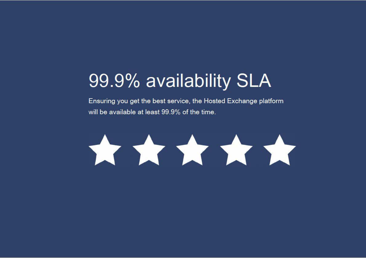# 99.9% availability SLA

Ensuring you get the best service, the Hosted Exchange platform will be available at least 99.9% of the time.

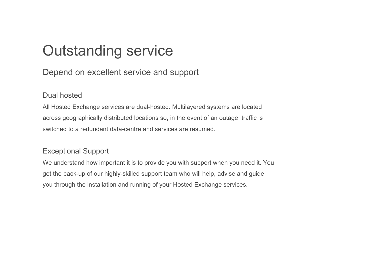# Outstanding service

#### Depend on excellent service and support

#### Dual hosted

All Hosted Exchange services are dual-hosted. Multilayered systems are located across geographically distributed locations so, in the event of an outage, traffic is switched to a redundant data-centre and services are resumed.

#### Exceptional Support

We understand how important it is to provide you with support when you need it. You get the back-up of our highly-skilled support team who will help, advise and guide you through the installation and running of your Hosted Exchange services.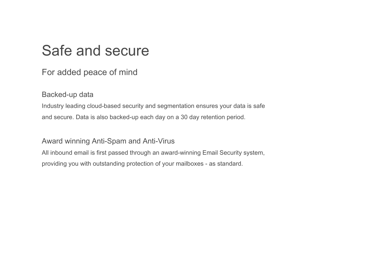## Safe and secure

For added peace of mind

Backed-up data

Industry leading cloud-based security and segmentation ensures your data is safe and secure. Data is also backed-up each day on a 30 day retention period.

Award winning Anti-Spam and Anti-Virus

All inbound email is first passed through an award-winning Email Security system, providing you with outstanding protection of your mailboxes - as standard.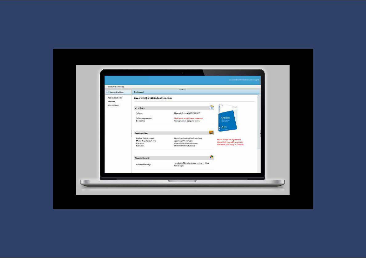